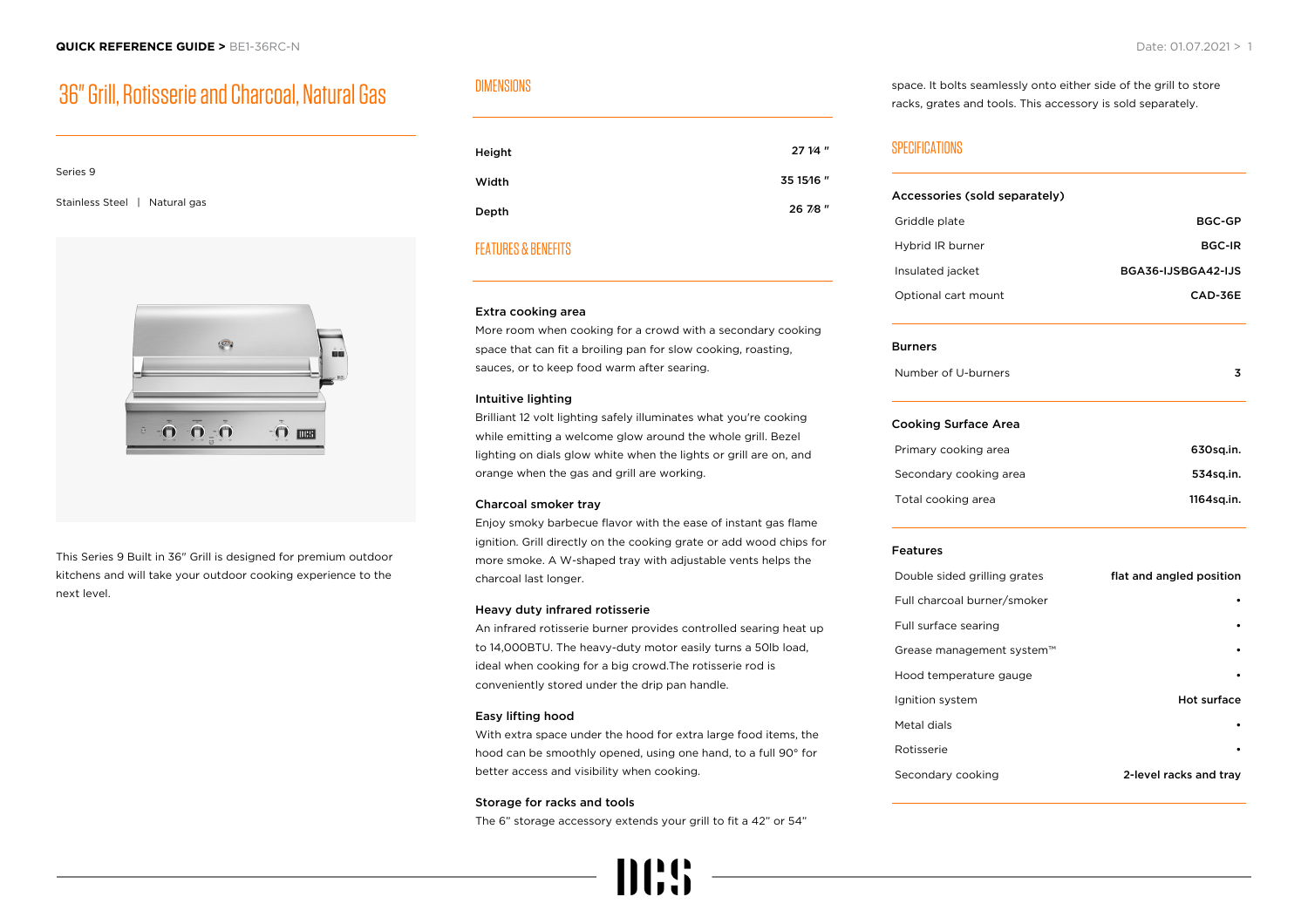# 36" Grill, Rotisserie and Charcoal, Natural Gas

# Series 9

Stainless Steel | Natural gas



This Series 9 Built in 36" Grill is designed for premium outdoor kitchens and will take your outdoor cooking experience to the next level.

# DIMENSIONS

| Height | 27 1/4 "  |
|--------|-----------|
| Width  | 35 15/16" |
| Depth  | 26 7/8"   |

# FEATURES & BENEFITS

#### Extra cooking area

More room when cooking for a crowd with a secondary cooking space that can fit a broiling pan for slow cooking, roasting, sauces, or to keep food warm after searing.

## Intuitive lighting

Brilliant 12 volt lighting safely illuminates what you're cooking while emitting a welcome glow around the whole grill. Bezel lighting on dials glow white when the lights or grill are on, and orange when the gas and grill are working.

## Charcoal smoker tray

Enjoy smoky barbecue flavor with the ease of instant gas flame ignition. Grill directly on the cooking grate or add wood chips for more smoke. A W-shaped tray with adjustable vents helps the charcoal last longer.

## Heavy duty infrared rotisserie

An infrared rotisserie burner provides controlled searing heat up to 14,000BTU. The heavy-duty motor easily turns a 50lb load, ideal when cooking for a big crowd.The rotisserie rod is conveniently stored under the drip pan handle.

#### Easy lifting hood

With extra space under the hood for extra large food items, the hood can be smoothly opened, using one hand, to a full 90° for better access and visibility when cooking.

#### Storage for racks and tools

The 6" storage accessory extends your grill to fit a 42" or 54"



space. It bolts seamlessly onto either side of the grill to store racks, grates and tools. This accessory is sold separately.

# SPECIFICATIONS

| Accessories (sold separately) |                          |  |
|-------------------------------|--------------------------|--|
| Griddle plate                 | <b>BGC-GP</b>            |  |
| Hybrid IR burner              | <b>BGC-IR</b>            |  |
| Insulated jacket              | BGA36-IJSBGA42-IJS       |  |
| Optional cart mount           | CAD-36E                  |  |
| <b>Burners</b>                |                          |  |
| Number of U-burners           | 3                        |  |
| <b>Cooking Surface Area</b>   |                          |  |
| Primary cooking area          | 630sq.in.                |  |
| Secondary cooking area        | 534sq.in.                |  |
| Total cooking area            | 1164sq.in.               |  |
| <b>Features</b>               |                          |  |
| Double sided grilling grates  | flat and angled position |  |
| Full charcoal burner/smoker   |                          |  |
| Full surface searing          |                          |  |
| Grease management system™     |                          |  |
| Hood temperature gauge        |                          |  |
| Ignition system               | <b>Hot surface</b>       |  |
| Metal dials                   |                          |  |
| Rotisserie                    |                          |  |
| Secondary cooking             | 2-level racks and tray   |  |